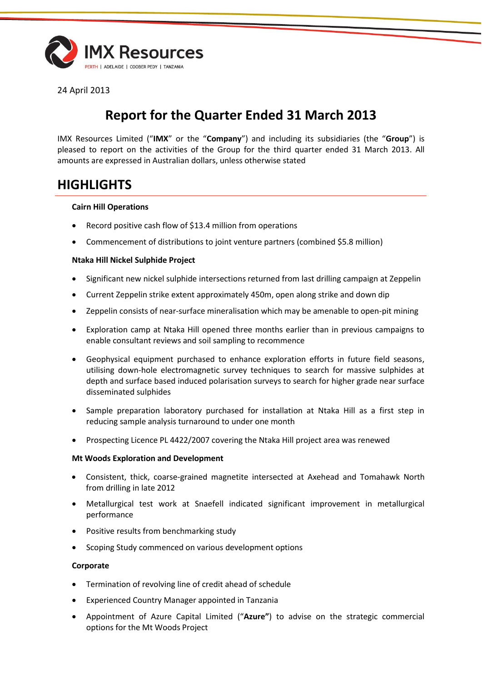

24 April 2013

# **Report for the Quarter Ended 31 March 2013**

IMX Resources Limited ("**IMX**" or the "**Company**") and including its subsidiaries (the "**Group**") is pleased to report on the activities of the Group for the third quarter ended 31 March 2013. All amounts are expressed in Australian dollars, unless otherwise stated

# **HIGHLIGHTS**

#### **Cairn Hill Operations**

- Record positive cash flow of \$13.4 million from operations
- Commencement of distributions to joint venture partners (combined \$5.8 million)

#### **Ntaka Hill Nickel Sulphide Project**

- Significant new nickel sulphide intersections returned from last drilling campaign at Zeppelin
- Current Zeppelin strike extent approximately 450m, open along strike and down dip
- Zeppelin consists of near-surface mineralisation which may be amenable to open-pit mining
- Exploration camp at Ntaka Hill opened three months earlier than in previous campaigns to enable consultant reviews and soil sampling to recommence
- Geophysical equipment purchased to enhance exploration efforts in future field seasons, utilising down-hole electromagnetic survey techniques to search for massive sulphides at depth and surface based induced polarisation surveys to search for higher grade near surface disseminated sulphides
- Sample preparation laboratory purchased for installation at Ntaka Hill as a first step in reducing sample analysis turnaround to under one month
- Prospecting Licence PL 4422/2007 covering the Ntaka Hill project area was renewed

#### **Mt Woods Exploration and Development**

- Consistent, thick, coarse-grained magnetite intersected at Axehead and Tomahawk North from drilling in late 2012
- Metallurgical test work at Snaefell indicated significant improvement in metallurgical performance
- Positive results from benchmarking study
- Scoping Study commenced on various development options

#### **Corporate**

- Termination of revolving line of credit ahead of schedule
- Experienced Country Manager appointed in Tanzania
- Appointment of Azure Capital Limited ("**Azure"**) to advise on the strategic commercial options for the Mt Woods Project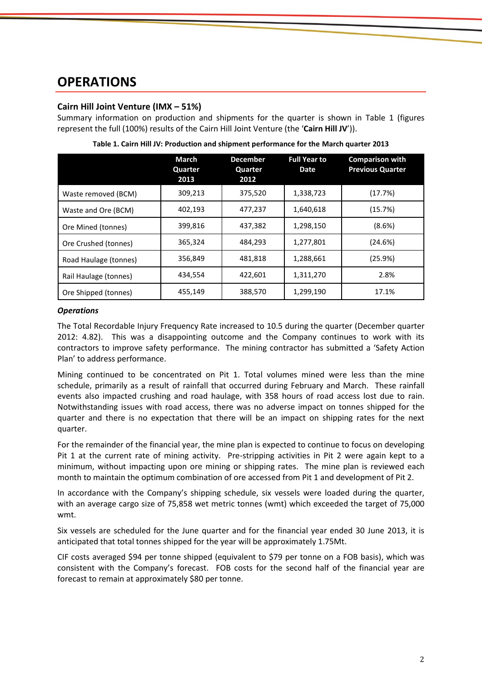# **OPERATIONS**

## **Cairn Hill Joint Venture (IMX – 51%)**

Summary information on production and shipments for the quarter is shown in Table 1 (figures represent the full (100%) results of the Cairn Hill Joint Venture (the '**Cairn Hill JV**')).

|                       | March<br>Quarter<br>2013 | <b>December</b><br>Quarter<br>2012 | <b>Full Year to</b><br><b>Date</b> | <b>Comparison with</b><br><b>Previous Quarter</b> |
|-----------------------|--------------------------|------------------------------------|------------------------------------|---------------------------------------------------|
| Waste removed (BCM)   | 309,213                  | 375,520                            | 1,338,723                          | (17.7%)                                           |
| Waste and Ore (BCM)   | 402,193                  | 477,237                            | 1,640,618                          | (15.7%)                                           |
| Ore Mined (tonnes)    | 399,816                  | 437,382                            | 1,298,150                          | (8.6%)                                            |
| Ore Crushed (tonnes)  | 365,324                  | 484,293                            | 1,277,801                          | (24.6%)                                           |
| Road Haulage (tonnes) | 356,849                  | 481,818                            | 1,288,661                          | (25.9%)                                           |
| Rail Haulage (tonnes) | 434,554                  | 422,601                            | 1,311,270                          | 2.8%                                              |
| Ore Shipped (tonnes)  | 455,149                  | 388,570                            | 1,299,190                          | 17.1%                                             |

**Table 1. Cairn Hill JV: Production and shipment performance for the March quarter 2013**

#### *Operations*

The Total Recordable Injury Frequency Rate increased to 10.5 during the quarter (December quarter 2012: 4.82). This was a disappointing outcome and the Company continues to work with its contractors to improve safety performance. The mining contractor has submitted a 'Safety Action Plan' to address performance.

Mining continued to be concentrated on Pit 1. Total volumes mined were less than the mine schedule, primarily as a result of rainfall that occurred during February and March. These rainfall events also impacted crushing and road haulage, with 358 hours of road access lost due to rain. Notwithstanding issues with road access, there was no adverse impact on tonnes shipped for the quarter and there is no expectation that there will be an impact on shipping rates for the next quarter.

For the remainder of the financial year, the mine plan is expected to continue to focus on developing Pit 1 at the current rate of mining activity. Pre-stripping activities in Pit 2 were again kept to a minimum, without impacting upon ore mining or shipping rates. The mine plan is reviewed each month to maintain the optimum combination of ore accessed from Pit 1 and development of Pit 2.

In accordance with the Company's shipping schedule, six vessels were loaded during the quarter, with an average cargo size of 75,858 wet metric tonnes (wmt) which exceeded the target of 75,000 wmt.

Six vessels are scheduled for the June quarter and for the financial year ended 30 June 2013, it is anticipated that total tonnes shipped for the year will be approximately 1.75Mt.

CIF costs averaged \$94 per tonne shipped (equivalent to \$79 per tonne on a FOB basis), which was consistent with the Company's forecast. FOB costs for the second half of the financial year are forecast to remain at approximately \$80 per tonne.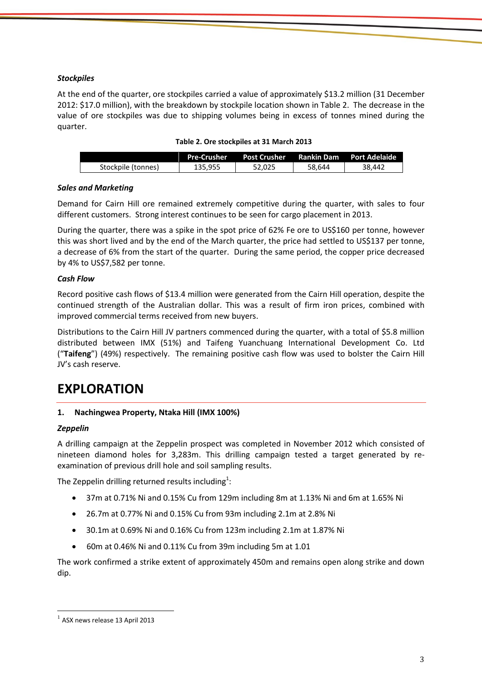## *Stockpiles*

At the end of the quarter, ore stockpiles carried a value of approximately \$13.2 million (31 December 2012: \$17.0 million), with the breakdown by stockpile location shown in Table 2. The decrease in the value of ore stockpiles was due to shipping volumes being in excess of tonnes mined during the quarter.

|                    | <b>Pre-Crusher</b> | <b>Post Crusher</b> | <b>Rankin Dam</b> | <b>Port Adelaide</b> |
|--------------------|--------------------|---------------------|-------------------|----------------------|
| Stockpile (tonnes) | 135.955            | 52.025              | 58.644            | 38.442               |

#### *Sales and Marketing*

Demand for Cairn Hill ore remained extremely competitive during the quarter, with sales to four different customers. Strong interest continues to be seen for cargo placement in 2013.

During the quarter, there was a spike in the spot price of 62% Fe ore to US\$160 per tonne, however this was short lived and by the end of the March quarter, the price had settled to US\$137 per tonne, a decrease of 6% from the start of the quarter. During the same period, the copper price decreased by 4% to US\$7,582 per tonne.

## *Cash Flow*

Record positive cash flows of \$13.4 million were generated from the Cairn Hill operation, despite the continued strength of the Australian dollar. This was a result of firm iron prices, combined with improved commercial terms received from new buyers.

Distributions to the Cairn Hill JV partners commenced during the quarter, with a total of \$5.8 million distributed between IMX (51%) and Taifeng Yuanchuang International Development Co. Ltd ("**Taifeng**") (49%) respectively. The remaining positive cash flow was used to bolster the Cairn Hill JV's cash reserve.

# **EXPLORATION**

## **1. Nachingwea Property, Ntaka Hill (IMX 100%)**

#### *Zeppelin*

A drilling campaign at the Zeppelin prospect was completed in November 2012 which consisted of nineteen diamond holes for 3,283m. This drilling campaign tested a target generated by reexamination of previous drill hole and soil sampling results.

The Zeppelin drilling returned results including $^1$ :

- 37m at 0.71% Ni and 0.15% Cu from 129m including 8m at 1.13% Ni and 6m at 1.65% Ni
- 26.7m at 0.77% Ni and 0.15% Cu from 93m including 2.1m at 2.8% Ni
- 30.1m at 0.69% Ni and 0.16% Cu from 123m including 2.1m at 1.87% Ni
- 60m at 0.46% Ni and 0.11% Cu from 39m including 5m at 1.01

The work confirmed a strike extent of approximately 450m and remains open along strike and down dip.

 $\overline{\phantom{a}}$ 

 $<sup>1</sup>$  ASX news release 13 April 2013</sup>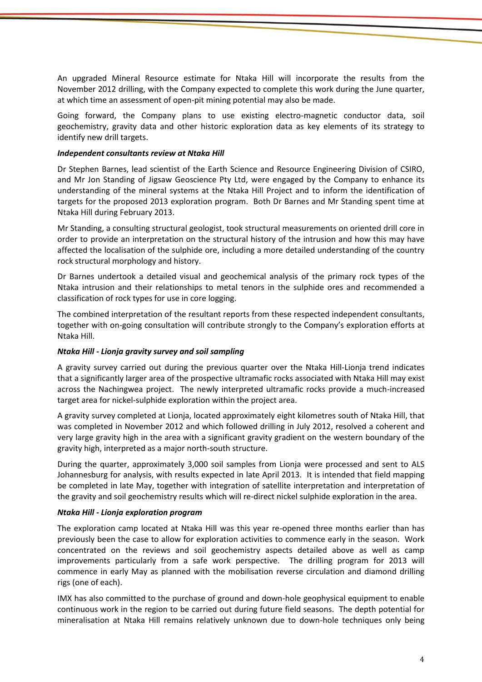An upgraded Mineral Resource estimate for Ntaka Hill will incorporate the results from the November 2012 drilling, with the Company expected to complete this work during the June quarter, at which time an assessment of open-pit mining potential may also be made.

Going forward, the Company plans to use existing electro-magnetic conductor data, soil geochemistry, gravity data and other historic exploration data as key elements of its strategy to identify new drill targets.

#### *Independent consultants review at Ntaka Hill*

Dr Stephen Barnes, lead scientist of the Earth Science and Resource Engineering Division of CSIRO, and Mr Jon Standing of Jigsaw Geoscience Pty Ltd, were engaged by the Company to enhance its understanding of the mineral systems at the Ntaka Hill Project and to inform the identification of targets for the proposed 2013 exploration program. Both Dr Barnes and Mr Standing spent time at Ntaka Hill during February 2013.

Mr Standing, a consulting structural geologist, took structural measurements on oriented drill core in order to provide an interpretation on the structural history of the intrusion and how this may have affected the localisation of the sulphide ore, including a more detailed understanding of the country rock structural morphology and history.

Dr Barnes undertook a detailed visual and geochemical analysis of the primary rock types of the Ntaka intrusion and their relationships to metal tenors in the sulphide ores and recommended a classification of rock types for use in core logging.

The combined interpretation of the resultant reports from these respected independent consultants, together with on-going consultation will contribute strongly to the Company's exploration efforts at Ntaka Hill.

## *Ntaka Hill - Lionja gravity survey and soil sampling*

A gravity survey carried out during the previous quarter over the Ntaka Hill-Lionja trend indicates that a significantly larger area of the prospective ultramafic rocks associated with Ntaka Hill may exist across the Nachingwea project. The newly interpreted ultramafic rocks provide a much-increased target area for nickel-sulphide exploration within the project area.

A gravity survey completed at Lionja, located approximately eight kilometres south of Ntaka Hill, that was completed in November 2012 and which followed drilling in July 2012, resolved a coherent and very large gravity high in the area with a significant gravity gradient on the western boundary of the gravity high, interpreted as a major north-south structure.

During the quarter, approximately 3,000 soil samples from Lionja were processed and sent to ALS Johannesburg for analysis, with results expected in late April 2013. It is intended that field mapping be completed in late May, together with integration of satellite interpretation and interpretation of the gravity and soil geochemistry results which will re-direct nickel sulphide exploration in the area.

#### *Ntaka Hill - Lionja exploration program*

The exploration camp located at Ntaka Hill was this year re-opened three months earlier than has previously been the case to allow for exploration activities to commence early in the season. Work concentrated on the reviews and soil geochemistry aspects detailed above as well as camp improvements particularly from a safe work perspective. The drilling program for 2013 will commence in early May as planned with the mobilisation reverse circulation and diamond drilling rigs (one of each).

IMX has also committed to the purchase of ground and down-hole geophysical equipment to enable continuous work in the region to be carried out during future field seasons. The depth potential for mineralisation at Ntaka Hill remains relatively unknown due to down-hole techniques only being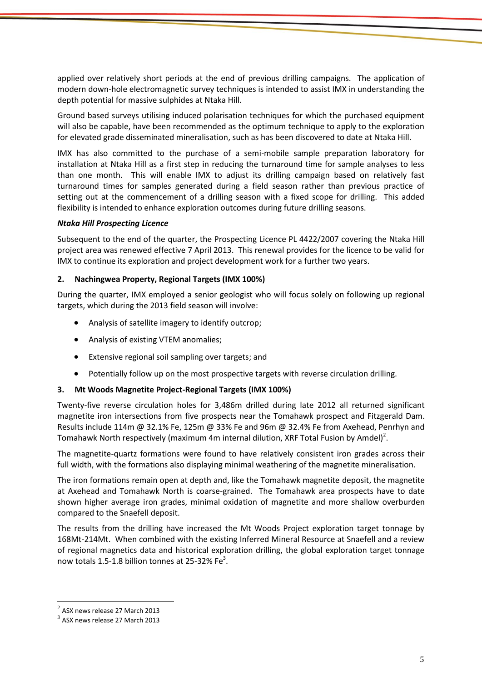applied over relatively short periods at the end of previous drilling campaigns. The application of modern down-hole electromagnetic survey techniques is intended to assist IMX in understanding the depth potential for massive sulphides at Ntaka Hill.

Ground based surveys utilising induced polarisation techniques for which the purchased equipment will also be capable, have been recommended as the optimum technique to apply to the exploration for elevated grade disseminated mineralisation, such as has been discovered to date at Ntaka Hill.

IMX has also committed to the purchase of a semi-mobile sample preparation laboratory for installation at Ntaka Hill as a first step in reducing the turnaround time for sample analyses to less than one month. This will enable IMX to adjust its drilling campaign based on relatively fast turnaround times for samples generated during a field season rather than previous practice of setting out at the commencement of a drilling season with a fixed scope for drilling. This added flexibility is intended to enhance exploration outcomes during future drilling seasons.

## *Ntaka Hill Prospecting Licence*

Subsequent to the end of the quarter, the Prospecting Licence PL 4422/2007 covering the Ntaka Hill project area was renewed effective 7 April 2013. This renewal provides for the licence to be valid for IMX to continue its exploration and project development work for a further two years.

#### **2. Nachingwea Property, Regional Targets (IMX 100%)**

During the quarter, IMX employed a senior geologist who will focus solely on following up regional targets, which during the 2013 field season will involve:

- Analysis of satellite imagery to identify outcrop;
- Analysis of existing VTEM anomalies;
- Extensive regional soil sampling over targets; and
- Potentially follow up on the most prospective targets with reverse circulation drilling.

## **3. Mt Woods Magnetite Project-Regional Targets (IMX 100%)**

Twenty-five reverse circulation holes for 3,486m drilled during late 2012 all returned significant magnetite iron intersections from five prospects near the Tomahawk prospect and Fitzgerald Dam. Results include 114m @ 32.1% Fe, 125m @ 33% Fe and 96m @ 32.4% Fe from Axehead, Penrhyn and Tomahawk North respectively (maximum 4m internal dilution, XRF Total Fusion by Amdel)<sup>2</sup>.

The magnetite-quartz formations were found to have relatively consistent iron grades across their full width, with the formations also displaying minimal weathering of the magnetite mineralisation.

The iron formations remain open at depth and, like the Tomahawk magnetite deposit, the magnetite at Axehead and Tomahawk North is coarse-grained. The Tomahawk area prospects have to date shown higher average iron grades, minimal oxidation of magnetite and more shallow overburden compared to the Snaefell deposit.

The results from the drilling have increased the Mt Woods Project exploration target tonnage by 168Mt-214Mt. When combined with the existing Inferred Mineral Resource at Snaefell and a review of regional magnetics data and historical exploration drilling, the global exploration target tonnage now totals 1.5-1.8 billion tonnes at 25-32% Fe<sup>3</sup>.

 $\overline{\phantom{a}}$ 

 $^2$  ASX news release 27 March 2013

 $^3$  ASX news release 27 March 2013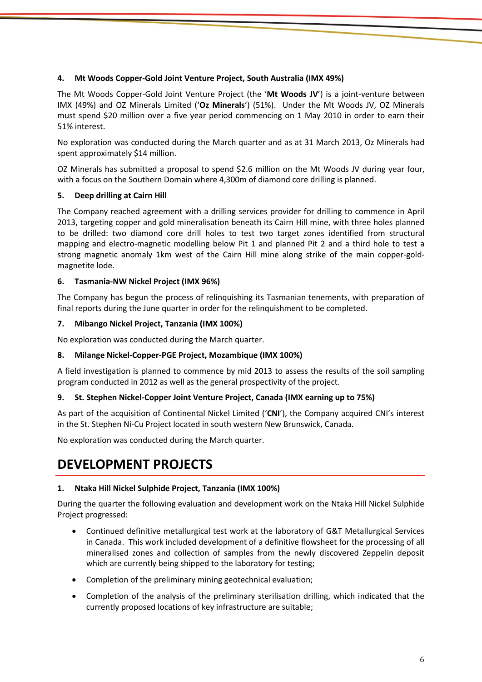# **4. Mt Woods Copper-Gold Joint Venture Project, South Australia (IMX 49%)**

The Mt Woods Copper-Gold Joint Venture Project (the '**Mt Woods JV**') is a joint-venture between IMX (49%) and OZ Minerals Limited ('**Oz Minerals**') (51%). Under the Mt Woods JV, OZ Minerals must spend \$20 million over a five year period commencing on 1 May 2010 in order to earn their 51% interest.

No exploration was conducted during the March quarter and as at 31 March 2013, Oz Minerals had spent approximately \$14 million.

OZ Minerals has submitted a proposal to spend \$2.6 million on the Mt Woods JV during year four, with a focus on the Southern Domain where 4,300m of diamond core drilling is planned.

# **5. Deep drilling at Cairn Hill**

The Company reached agreement with a drilling services provider for drilling to commence in April 2013, targeting copper and gold mineralisation beneath its Cairn Hill mine, with three holes planned to be drilled: two diamond core drill holes to test two target zones identified from structural mapping and electro-magnetic modelling below Pit 1 and planned Pit 2 and a third hole to test a strong magnetic anomaly 1km west of the Cairn Hill mine along strike of the main copper-goldmagnetite lode.

## **6. Tasmania-NW Nickel Project (IMX 96%)**

The Company has begun the process of relinquishing its Tasmanian tenements, with preparation of final reports during the June quarter in order for the relinquishment to be completed.

## **7. Mibango Nickel Project, Tanzania (IMX 100%)**

No exploration was conducted during the March quarter.

## **8. Milange Nickel-Copper-PGE Project, Mozambique (IMX 100%)**

A field investigation is planned to commence by mid 2013 to assess the results of the soil sampling program conducted in 2012 as well as the general prospectivity of the project.

## **9. St. Stephen Nickel-Copper Joint Venture Project, Canada (IMX earning up to 75%)**

As part of the acquisition of Continental Nickel Limited ('**CNI**'), the Company acquired CNI's interest in the St. Stephen Ni-Cu Project located in south western New Brunswick, Canada.

No exploration was conducted during the March quarter.

# **DEVELOPMENT PROJECTS**

## **1. Ntaka Hill Nickel Sulphide Project, Tanzania (IMX 100%)**

During the quarter the following evaluation and development work on the Ntaka Hill Nickel Sulphide Project progressed:

- Continued definitive metallurgical test work at the laboratory of G&T Metallurgical Services in Canada. This work included development of a definitive flowsheet for the processing of all mineralised zones and collection of samples from the newly discovered Zeppelin deposit which are currently being shipped to the laboratory for testing;
- Completion of the preliminary mining geotechnical evaluation;
- Completion of the analysis of the preliminary sterilisation drilling, which indicated that the currently proposed locations of key infrastructure are suitable;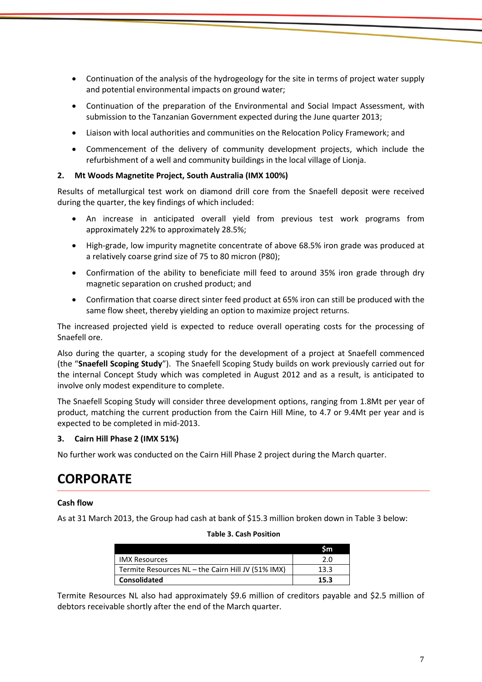- Continuation of the analysis of the hydrogeology for the site in terms of project water supply and potential environmental impacts on ground water;
- Continuation of the preparation of the Environmental and Social Impact Assessment, with submission to the Tanzanian Government expected during the June quarter 2013;
- Liaison with local authorities and communities on the Relocation Policy Framework; and
- Commencement of the delivery of community development projects, which include the refurbishment of a well and community buildings in the local village of Lionja.

# **2. Mt Woods Magnetite Project, South Australia (IMX 100%)**

Results of metallurgical test work on diamond drill core from the Snaefell deposit were received during the quarter, the key findings of which included:

- An increase in anticipated overall yield from previous test work programs from approximately 22% to approximately 28.5%;
- High-grade, low impurity magnetite concentrate of above 68.5% iron grade was produced at a relatively coarse grind size of 75 to 80 micron (P80);
- Confirmation of the ability to beneficiate mill feed to around 35% iron grade through dry magnetic separation on crushed product; and
- Confirmation that coarse direct sinter feed product at 65% iron can still be produced with the same flow sheet, thereby yielding an option to maximize project returns.

The increased projected yield is expected to reduce overall operating costs for the processing of Snaefell ore.

Also during the quarter, a scoping study for the development of a project at Snaefell commenced (the "**Snaefell Scoping Study**"). The Snaefell Scoping Study builds on work previously carried out for the internal Concept Study which was completed in August 2012 and as a result, is anticipated to involve only modest expenditure to complete.

The Snaefell Scoping Study will consider three development options, ranging from 1.8Mt per year of product, matching the current production from the Cairn Hill Mine, to 4.7 or 9.4Mt per year and is expected to be completed in mid-2013.

## **3. Cairn Hill Phase 2 (IMX 51%)**

No further work was conducted on the Cairn Hill Phase 2 project during the March quarter.

# **CORPORATE**

## **Cash flow**

As at 31 March 2013, the Group had cash at bank of \$15.3 million broken down in Table 3 below:

**Table 3. Cash Position**

|                                                    | Sm   |
|----------------------------------------------------|------|
| <b>IMX Resources</b>                               | 2.0  |
| Termite Resources NL - the Cairn Hill JV (51% IMX) | 13.3 |
| <b>Consolidated</b>                                | 15.3 |

## Termite Resources NL also had approximately \$9.6 million of creditors payable and \$2.5 million of debtors receivable shortly after the end of the March quarter.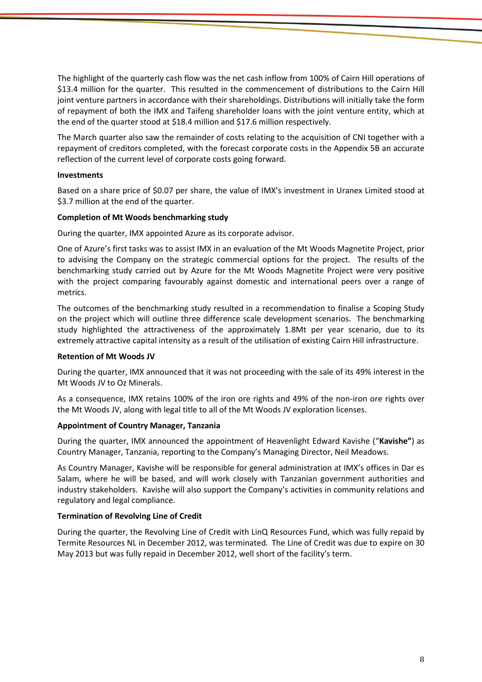The highlight of the quarterly cash flow was the net cash inflow from 100% of Cairn Hill operations of \$13.4 million for the quarter. This resulted in the commencement of distributions to the Cairn Hill joint venture partners in accordance with their shareholdings. Distributions will initially take the form of repayment of both the IMX and Taifeng shareholder loans with the joint venture entity, which at the end of the quarter stood at \$18.4 million and \$17.6 million respectively.

The March quarter also saw the remainder of costs relating to the acquisition of CNI together with a repayment of creditors completed, with the forecast corporate costs in the Appendix 5B an accurate reflection of the current level of corporate costs going forward.

#### **Investments**

Based on a share price of \$0.07 per share, the value of IMX's investment in Uranex Limited stood at \$3.7 million at the end of the quarter.

#### **Completion of Mt Woods benchmarking study**

During the quarter, IMX appointed Azure as its corporate advisor.

One of Azure's first tasks was to assist IMX in an evaluation of the Mt Woods Magnetite Project, prior to advising the Company on the strategic commercial options for the project. The results of the benchmarking study carried out by Azure for the Mt Woods Magnetite Project were very positive with the project comparing favourably against domestic and international peers over a range of metrics.

The outcomes of the benchmarking study resulted in a recommendation to finalise a Scoping Study on the project which will outline three difference scale development scenarios. The benchmarking study highlighted the attractiveness of the approximately 1.8Mt per year scenario, due to its extremely attractive capital intensity as a result of the utilisation of existing Cairn Hill infrastructure.

#### **Retention of Mt Woods JV**

During the quarter, IMX announced that it was not proceeding with the sale of its 49% interest in the Mt Woods JV to Oz Minerals.

As a consequence, IMX retains 100% of the iron ore rights and 49% of the non-iron ore rights over the Mt Woods JV, along with legal title to all of the Mt Woods JV exploration licenses.

#### **Appointment of Country Manager, Tanzania**

During the quarter, IMX announced the appointment of Heavenlight Edward Kavishe ("**Kavishe"**) as Country Manager, Tanzania, reporting to the Company's Managing Director, Neil Meadows.

As Country Manager, Kavishe will be responsible for general administration at IMX's offices in Dar es Salam, where he will be based, and will work closely with Tanzanian government authorities and industry stakeholders. Kavishe will also support the Company's activities in community relations and regulatory and legal compliance.

## **Termination of Revolving Line of Credit**

During the quarter, the Revolving Line of Credit with LinQ Resources Fund, which was fully repaid by Termite Resources NL in December 2012, was terminated. The Line of Credit was due to expire on 30 May 2013 but was fully repaid in December 2012, well short of the facility's term.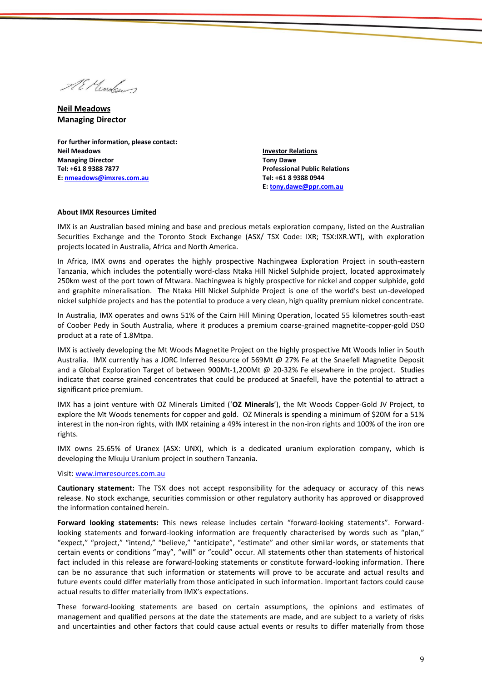Al Mondow

**Neil Meadows Managing Director**

**For further information, please contact: Neil Meadows Managing Director Tel: +61 8 9388 7877 E: [nmeadows@imxres.com.au](mailto:nmeadows@imxres.com.au)**

**Investor Relations Tony Dawe Professional Public Relations Tel: +61 8 9388 0944 E[: tony.dawe@ppr.com.au](mailto:lesleyjohns@optusnet.com.au)**

#### **About IMX Resources Limited**

IMX is an Australian based mining and base and precious metals exploration company, listed on the Australian Securities Exchange and the Toronto Stock Exchange (ASX/ TSX Code: IXR; TSX:IXR.WT), with exploration projects located in Australia, Africa and North America.

In Africa, IMX owns and operates the highly prospective Nachingwea Exploration Project in south-eastern Tanzania, which includes the potentially word-class Ntaka Hill Nickel Sulphide project, located approximately 250km west of the port town of Mtwara. Nachingwea is highly prospective for nickel and copper sulphide, gold and graphite mineralisation. The Ntaka Hill Nickel Sulphide Project is one of the world's best un-developed nickel sulphide projects and has the potential to produce a very clean, high quality premium nickel concentrate.

In Australia, IMX operates and owns 51% of the Cairn Hill Mining Operation, located 55 kilometres south-east of Coober Pedy in South Australia, where it produces a premium coarse-grained magnetite-copper-gold DSO product at a rate of 1.8Mtpa.

IMX is actively developing the Mt Woods Magnetite Project on the highly prospective Mt Woods Inlier in South Australia. IMX currently has a JORC Inferred Resource of 569Mt @ 27% Fe at the Snaefell Magnetite Deposit and a Global Exploration Target of between 900Mt-1,200Mt @ 20-32% Fe elsewhere in the project. Studies indicate that coarse grained concentrates that could be produced at Snaefell, have the potential to attract a significant price premium.

IMX has a joint venture with OZ Minerals Limited ('**OZ Minerals**'), the Mt Woods Copper-Gold JV Project, to explore the Mt Woods tenements for copper and gold. OZ Minerals is spending a minimum of \$20M for a 51% interest in the non-iron rights, with IMX retaining a 49% interest in the non-iron rights and 100% of the iron ore rights.

IMX owns 25.65% of Uranex (ASX: UNX), which is a dedicated uranium exploration company, which is developing the Mkuju Uranium project in southern Tanzania.

#### Visit[: www.imxresources.com.au](http://www.imxresources.com.au/)

**Cautionary statement:** The TSX does not accept responsibility for the adequacy or accuracy of this news release. No stock exchange, securities commission or other regulatory authority has approved or disapproved the information contained herein.

**Forward looking statements:** This news release includes certain "forward‐looking statements". Forwardlooking statements and forward-looking information are frequently characterised by words such as "plan," "expect," "project," "intend," "believe," "anticipate", "estimate" and other similar words, or statements that certain events or conditions "may", "will" or "could" occur. All statements other than statements of historical fact included in this release are forward‐looking statements or constitute forward-looking information. There can be no assurance that such information or statements will prove to be accurate and actual results and future events could differ materially from those anticipated in such information. Important factors could cause actual results to differ materially from IMX's expectations.

These forward-looking statements are based on certain assumptions, the opinions and estimates of management and qualified persons at the date the statements are made, and are subject to a variety of risks and uncertainties and other factors that could cause actual events or results to differ materially from those